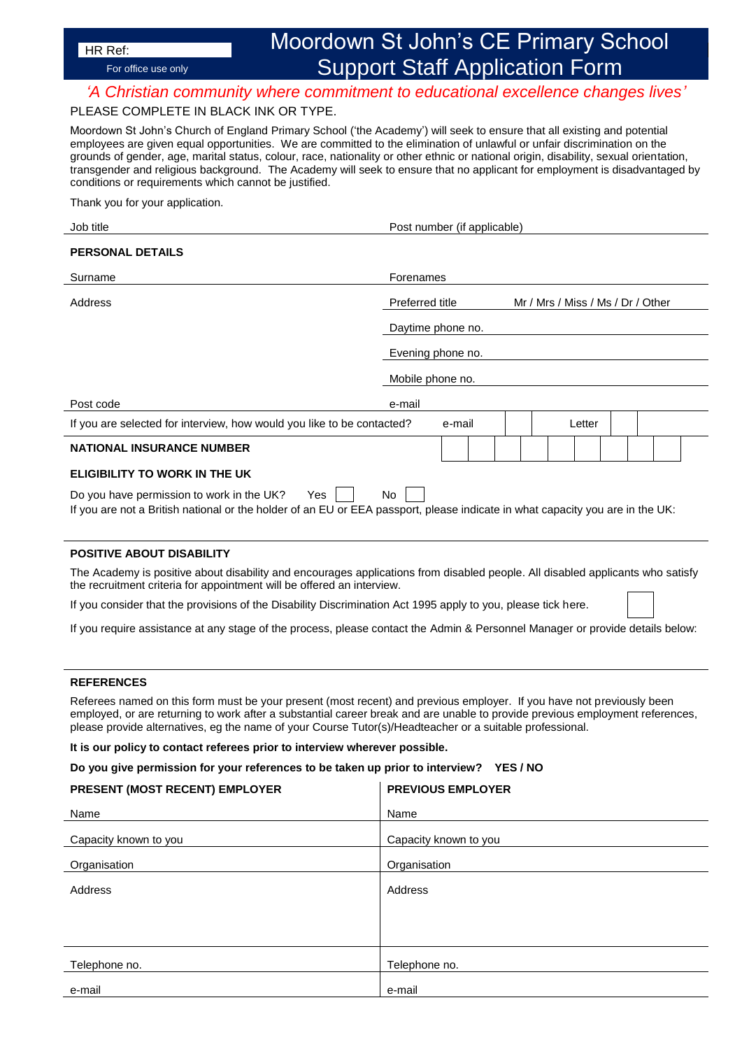#### HR Ref:

For office use only

# Moordown St John's CE Primary School Support Staff Application Form

## *'A Christian community where commitment to educational excellence changes lives'*

### PLEASE COMPLETE IN BLACK INK OR TYPE.

Moordown St John's Church of England Primary School ('the Academy') will seek to ensure that all existing and potential employees are given equal opportunities. We are committed to the elimination of unlawful or unfair discrimination on the grounds of gender, age, marital status, colour, race, nationality or other ethnic or national origin, disability, sexual orientation, transgender and religious background. The Academy will seek to ensure that no applicant for employment is disadvantaged by conditions or requirements which cannot be justified.

Thank you for your application.

| Job title                                                                                                                                                                         |                                                      | Post number (if applicable) |  |        |  |  |  |
|-----------------------------------------------------------------------------------------------------------------------------------------------------------------------------------|------------------------------------------------------|-----------------------------|--|--------|--|--|--|
| <b>PERSONAL DETAILS</b>                                                                                                                                                           |                                                      |                             |  |        |  |  |  |
| Surname                                                                                                                                                                           | Forenames                                            |                             |  |        |  |  |  |
| Address                                                                                                                                                                           | Preferred title<br>Mr / Mrs / Miss / Ms / Dr / Other |                             |  |        |  |  |  |
|                                                                                                                                                                                   | Daytime phone no.                                    |                             |  |        |  |  |  |
|                                                                                                                                                                                   | Evening phone no.                                    |                             |  |        |  |  |  |
|                                                                                                                                                                                   | Mobile phone no.                                     |                             |  |        |  |  |  |
| Post code                                                                                                                                                                         | e-mail                                               |                             |  |        |  |  |  |
| If you are selected for interview, how would you like to be contacted?                                                                                                            |                                                      | e-mail                      |  | Letter |  |  |  |
| <b>NATIONAL INSURANCE NUMBER</b>                                                                                                                                                  |                                                      |                             |  |        |  |  |  |
| ELIGIBILITY TO WORK IN THE UK                                                                                                                                                     |                                                      |                             |  |        |  |  |  |
| Do you have permission to work in the UK?<br>Yes<br>If you are not a British national or the holder of an EU or EEA passport, please indicate in what capacity you are in the UK: | <b>No</b>                                            |                             |  |        |  |  |  |

#### **POSITIVE ABOUT DISABILITY**

The Academy is positive about disability and encourages applications from disabled people. All disabled applicants who satisfy the recruitment criteria for appointment will be offered an interview.

If you consider that the provisions of the Disability Discrimination Act 1995 apply to you, please tick here.

If you require assistance at any stage of the process, please contact the Admin & Personnel Manager or provide details below:

#### **REFERENCES**

Referees named on this form must be your present (most recent) and previous employer. If you have not previously been employed, or are returning to work after a substantial career break and are unable to provide previous employment references, please provide alternatives, eg the name of your Course Tutor(s)/Headteacher or a suitable professional.

**It is our policy to contact referees prior to interview wherever possible.** 

**Do you give permission for your references to be taken up prior to interview? YES / NO**

| PRESENT (MOST RECENT) EMPLOYER | <b>PREVIOUS EMPLOYER</b> |
|--------------------------------|--------------------------|
| Name                           | Name                     |
| Capacity known to you          | Capacity known to you    |
| Organisation                   | Organisation             |
| Address                        | Address                  |
|                                |                          |
|                                |                          |
| Telephone no.                  | Telephone no.            |
| e-mail                         | e-mail                   |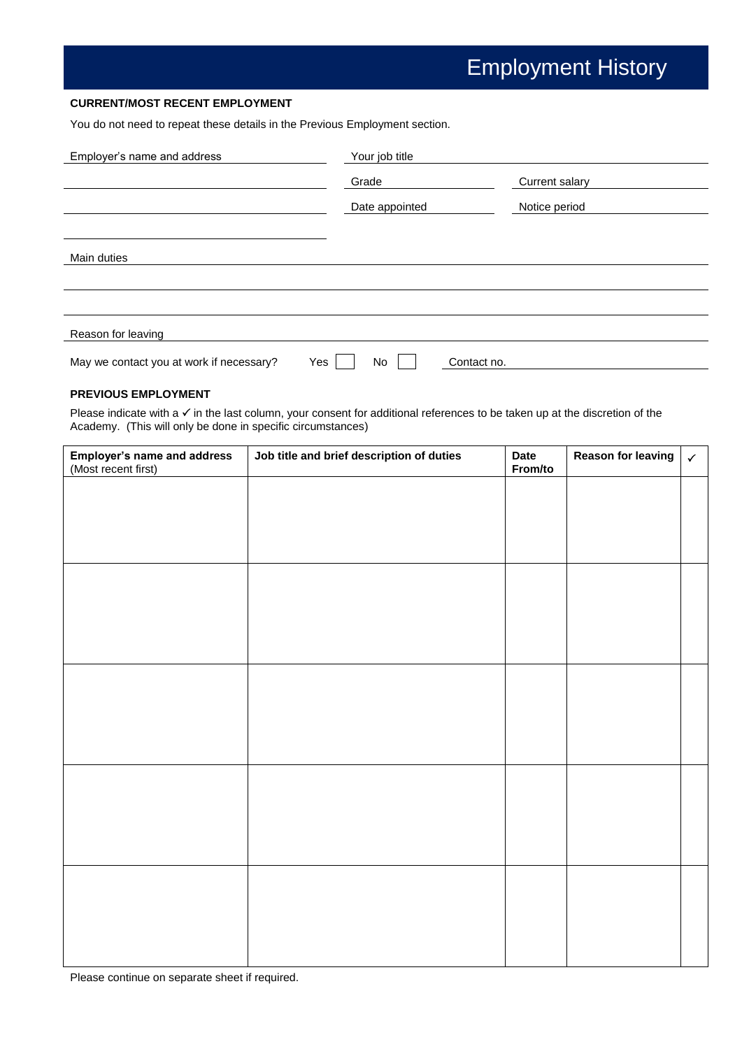# Employment History

#### **CURRENT/MOST RECENT EMPLOYMENT**

You do not need to repeat these details in the Previous Employment section.

| Employer's name and address                     | Your job title    |                |  |  |
|-------------------------------------------------|-------------------|----------------|--|--|
|                                                 | Grade             | Current salary |  |  |
|                                                 | Date appointed    | Notice period  |  |  |
|                                                 |                   |                |  |  |
| Main duties                                     |                   |                |  |  |
|                                                 |                   |                |  |  |
|                                                 |                   |                |  |  |
| Reason for leaving                              |                   |                |  |  |
| May we contact you at work if necessary?<br>Yes | No<br>Contact no. |                |  |  |

#### **PREVIOUS EMPLOYMENT**

Please indicate with a  $\checkmark$  in the last column, your consent for additional references to be taken up at the discretion of the Academy. (This will only be done in specific circumstances)

| Employer's name and address<br>(Most recent first) | Job title and brief description of duties | Date<br>From/to | <b>Reason for leaving</b> | $\checkmark$ |
|----------------------------------------------------|-------------------------------------------|-----------------|---------------------------|--------------|
|                                                    |                                           |                 |                           |              |
|                                                    |                                           |                 |                           |              |
|                                                    |                                           |                 |                           |              |
|                                                    |                                           |                 |                           |              |
|                                                    |                                           |                 |                           |              |
|                                                    |                                           |                 |                           |              |
|                                                    |                                           |                 |                           |              |
|                                                    |                                           |                 |                           |              |
|                                                    |                                           |                 |                           |              |
|                                                    |                                           |                 |                           |              |
|                                                    |                                           |                 |                           |              |
|                                                    |                                           |                 |                           |              |
|                                                    |                                           |                 |                           |              |
|                                                    |                                           |                 |                           |              |
|                                                    |                                           |                 |                           |              |

Please continue on separate sheet if required.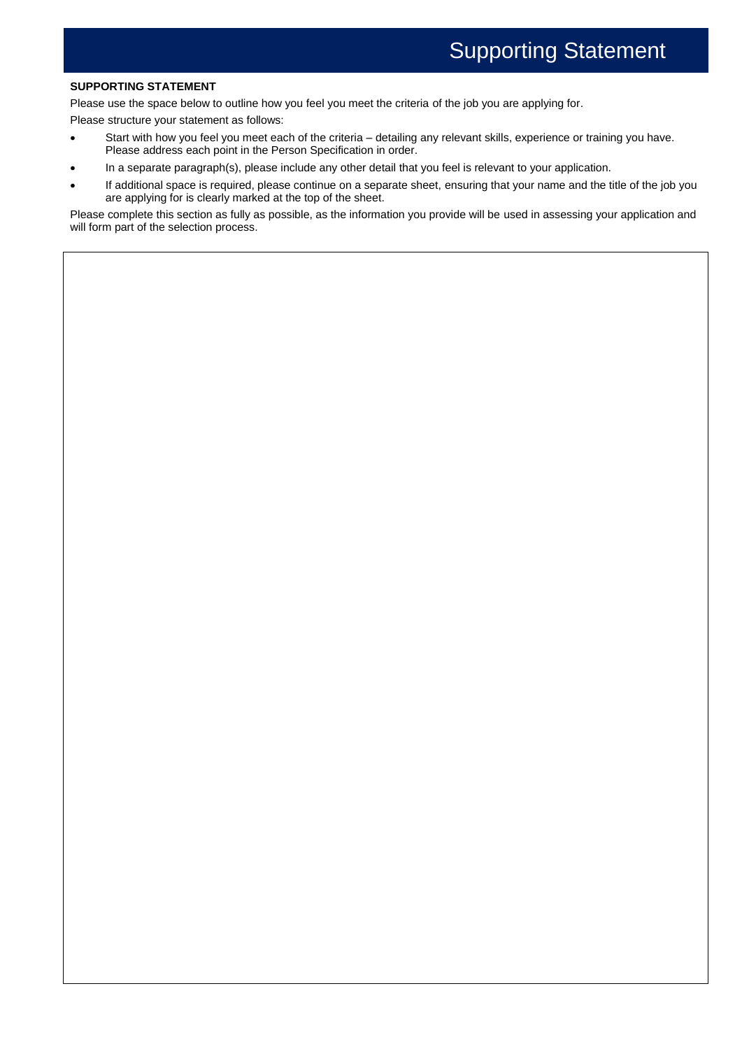#### **SUPPORTING STATEMENT**

Please use the space below to outline how you feel you meet the criteria of the job you are applying for. Please structure your statement as follows:

- Start with how you feel you meet each of the criteria detailing any relevant skills, experience or training you have. Please address each point in the Person Specification in order.
- In a separate paragraph(s), please include any other detail that you feel is relevant to your application.
- If additional space is required, please continue on a separate sheet, ensuring that your name and the title of the job you are applying for is clearly marked at the top of the sheet.

Please complete this section as fully as possible, as the information you provide will be used in assessing your application and will form part of the selection process.